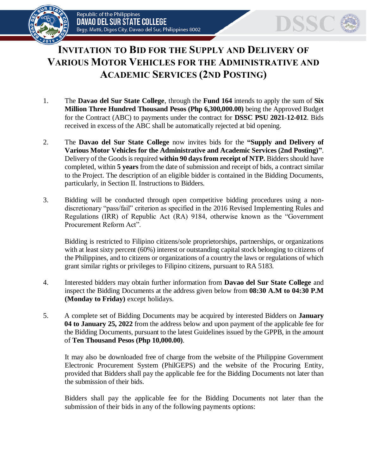



## **INVITATION TO BID FOR THE SUPPLY AND DELIVERY OF VARIOUS MOTOR VEHICLES FOR THE ADMINISTRATIVE AND ACADEMIC SERVICES (2ND POSTING)**

- 1. The **Davao del Sur State College**, through the **Fund 164** intends to apply the sum of **Six Million Three Hundred Thousand Pesos (Php 6,300,000.00)** being the Approved Budget for the Contract (ABC) to payments under the contract for **DSSC PSU 2021-12-012**. Bids received in excess of the ABC shall be automatically rejected at bid opening.
- 2. The **Davao del Sur State College** now invites bids for the **"Supply and Delivery of Various Motor Vehicles for the Administrative and Academic Services (2nd Posting)"**. Delivery of the Goods is required **within 90 days from receipt of NTP.** Bidders should have completed, within **5 years** from the date of submission and receipt of bids, a contract similar to the Project. The description of an eligible bidder is contained in the Bidding Documents, particularly, in Section II. Instructions to Bidders.
- 3. Bidding will be conducted through open competitive bidding procedures using a nondiscretionary "pass/fail" criterion as specified in the 2016 Revised Implementing Rules and Regulations (IRR) of Republic Act (RA) 9184, otherwise known as the "Government Procurement Reform Act".

Bidding is restricted to Filipino citizens/sole proprietorships, partnerships, or organizations with at least sixty percent (60%) interest or outstanding capital stock belonging to citizens of the Philippines, and to citizens or organizations of a country the laws or regulations of which grant similar rights or privileges to Filipino citizens, pursuant to RA 5183.

- 4. Interested bidders may obtain further information from **Davao del Sur State College** and inspect the Bidding Documents at the address given below from **08:30 A.M to 04:30 P.M (Monday to Friday)** except holidays.
- 5. A complete set of Bidding Documents may be acquired by interested Bidders on **January 04 to January 25, 2022** from the address below and upon payment of the applicable fee for the Bidding Documents, pursuant to the latest Guidelines issued by the GPPB, in the amount of **Ten Thousand Pesos (Php 10,000.00)**.

It may also be downloaded free of charge from the website of the Philippine Government Electronic Procurement System (PhilGEPS) and the website of the Procuring Entity*,*  provided that Bidders shall pay the applicable fee for the Bidding Documents not later than the submission of their bids.

Bidders shall pay the applicable fee for the Bidding Documents not later than the submission of their bids in any of the following payments options: